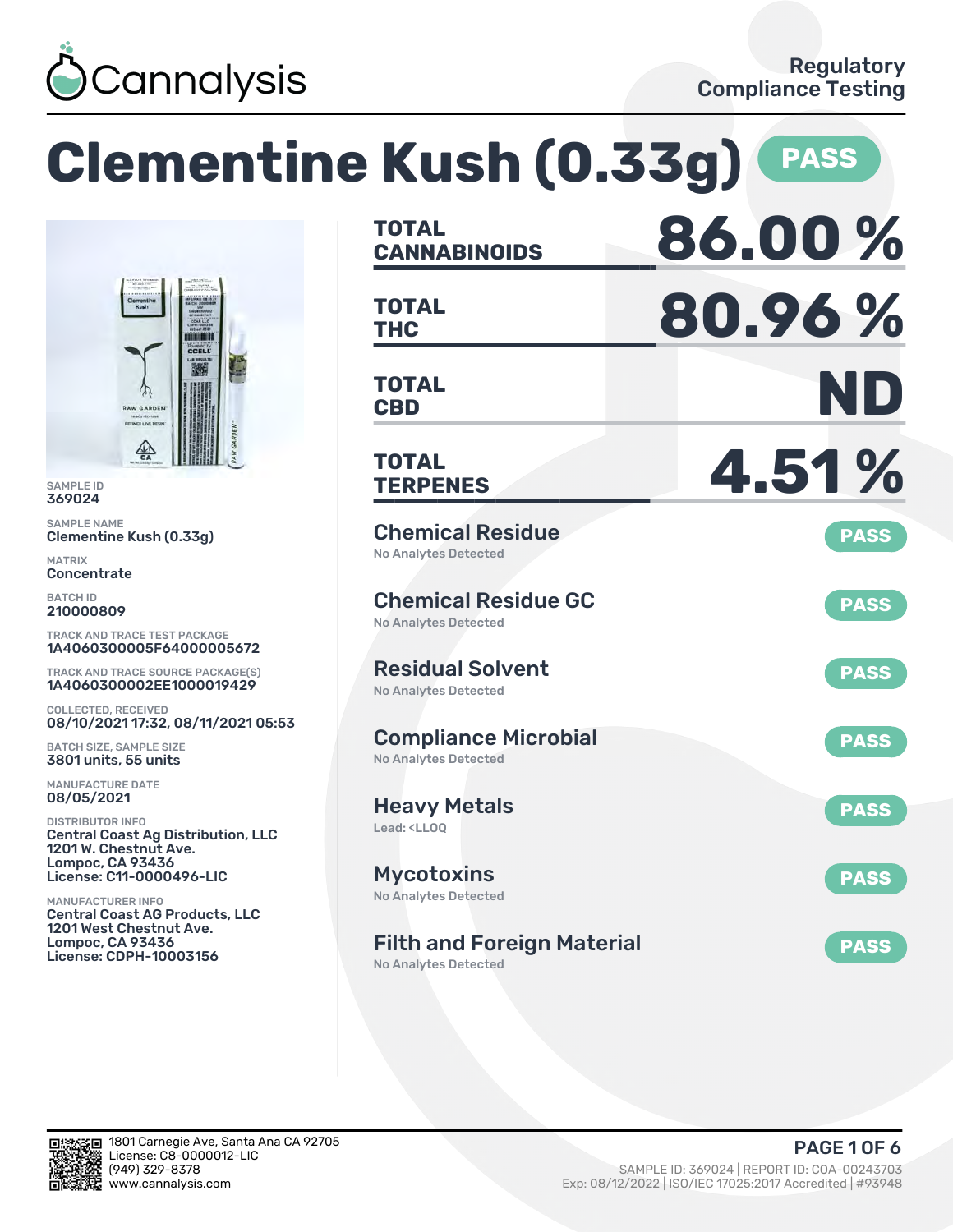

**Clementine Kush (0.33g) PASS**



SAMPLE ID 369024

SAMPLE NAME Clementine Kush (0.33g)

MATRIX **Concentrate** 

BATCH ID 210000809

TRACK AND TRACE TEST PACKAGE 1A4060300005F64000005672

TRACK AND TRACE SOURCE PACKAGE(S) 1A4060300002EE1000019429

COLLECTED, RECEIVED 08/10/2021 17:32, 08/11/2021 05:53

BATCH SIZE, SAMPLE SIZE 3801 units, 55 units

MANUFACTURE DATE 08/05/2021

DISTRIBUTOR INFO Central Coast Ag Distribution, LLC 1201 W. Chestnut Ave. Lompoc, CA 93436 License: C11-0000496-LIC

MANUFACTURER INFO Central Coast AG Products, LLC 1201 West Chestnut Ave. Lompoc, CA 93436 License: CDPH-10003156

| <b>TOTAL</b><br><b>CANNABINOIDS</b>                                    | 86.00%      |
|------------------------------------------------------------------------|-------------|
| TOTAL<br><b>THC</b>                                                    | 80.96%      |
| <b>TOTAL</b><br><b>CBD</b>                                             | ND          |
| TOTAL<br><b>TERPENES</b>                                               | 4.51%       |
| <b>Chemical Residue</b><br><b>No Analytes Detected</b>                 | <b>PASS</b> |
| <b>Chemical Residue GC</b><br>No Analytes Detected                     | <b>PASS</b> |
| <b>Residual Solvent</b><br>No Analytes Detected                        | <b>PASS</b> |
| <b>Compliance Microbial</b><br><b>No Analytes Detected</b>             | <b>PASS</b> |
| <b>Heavy Metals</b><br>Lead: <ll00< td=""><td><b>PASS</b></td></ll00<> | <b>PASS</b> |
| <b>Mycotoxins</b><br>No Analytes Detected                              | <b>PASS</b> |
| <b>Filth and Foreign Material</b><br>No Analytes Detected              | <b>PASS</b> |

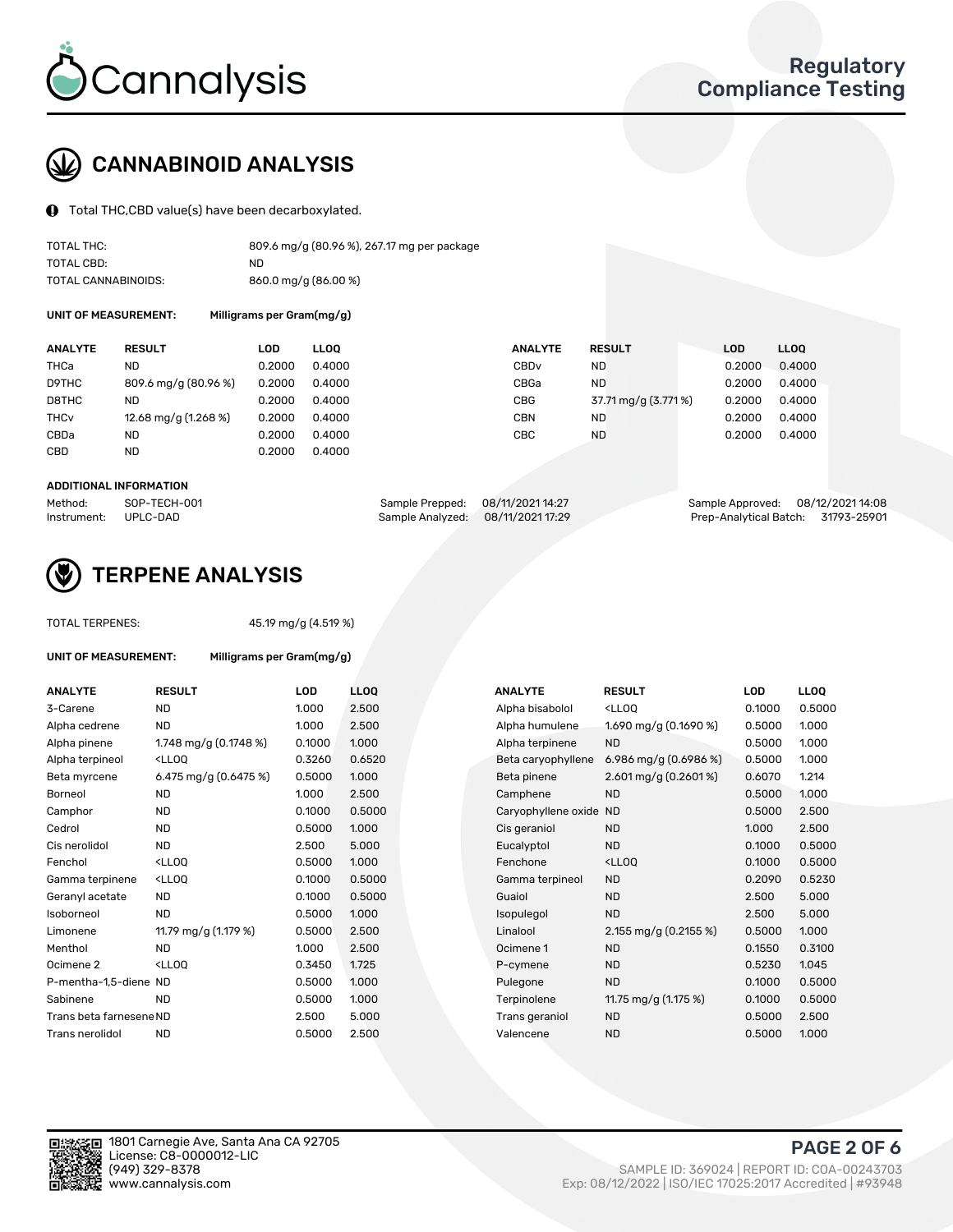

# CANNABINOID ANALYSIS

Total THC,CBD value(s) have been decarboxylated.

| TOTAL THC:          | 809.6 mg/g (80.96 %), 267.17 mg per package |
|---------------------|---------------------------------------------|
| TOTAL CBD:          | ND.                                         |
| TOTAL CANNABINOIDS: | 860.0 mg/g (86.00 %)                        |

UNIT OF MEASUREMENT: Milligrams per Gram(mg/g)

| <b>ANALYTE</b>         | <b>RESULT</b>        | <b>LOD</b> | <b>LLOO</b> | <b>ANALYTE</b>   | <b>RESULT</b>        | <b>LOD</b> | LL <sub>00</sub> |
|------------------------|----------------------|------------|-------------|------------------|----------------------|------------|------------------|
| <b>THCa</b>            | ND                   | 0.2000     | 0.4000      | CBD <sub>v</sub> | <b>ND</b>            | 0.2000     | 0.4000           |
| D9THC                  | 809.6 mg/g (80.96 %) | 0.2000     | 0.4000      | CBGa             | <b>ND</b>            | 0.2000     | 0.4000           |
| D8THC                  | ND                   | 0.2000     | 0.4000      | <b>CBG</b>       | 37.71 mg/g (3.771 %) | 0.2000     | 0.4000           |
| <b>THC<sub>v</sub></b> | 12.68 mg/g (1.268 %) | 0.2000     | 0.4000      | <b>CBN</b>       | <b>ND</b>            | 0.2000     | 0.4000           |
| CBDa                   | ND                   | 0.2000     | 0.4000      | CBC              | <b>ND</b>            | 0.2000     | 0.4000           |
| <b>CBD</b>             | <b>ND</b>            | 0.2000     | 0.4000      |                  |                      |            |                  |
|                        |                      |            |             |                  |                      |            |                  |

#### ADDITIONAL INFORMATION

| Method:              | SOP-TECH-001 | Sample Prepped: 08/11/2021 14:27  | Sample Approved: 08/12/2021 14:08  |  |
|----------------------|--------------|-----------------------------------|------------------------------------|--|
| Instrument: UPLC-DAD |              | Sample Analyzed: 08/11/2021 17:29 | Prep-Analytical Batch: 31793-25901 |  |



### TERPENE ANALYSIS

TOTAL TERPENES: 45.19 mg/g (4.519 %)

| UNIT OF MEASUREMENT:    | Milligrams per Gram(mg/g)                         |            |                   |  |  |
|-------------------------|---------------------------------------------------|------------|-------------------|--|--|
| <b>ANALYTE</b>          | <b>RESULT</b>                                     | <b>LOD</b> | LL <sub>O</sub> C |  |  |
| 3-Carene                | <b>ND</b>                                         | 1.000      | 2.50(             |  |  |
| Alpha cedrene           | <b>ND</b>                                         | 1.000      | 2.50(             |  |  |
| Alpha pinene            | 1.748 mg/g $(0.1748\%)$                           | 0.1000     | 1.000             |  |  |
| Alpha terpineol         | <ll00< td=""><td>0.3260</td><td>0.65</td></ll00<> | 0.3260     | 0.65              |  |  |
| Beta myrcene            | 6.475 mg/g $(0.6475%)$                            | 0.5000     | 1.00(             |  |  |
| Borneol                 | <b>ND</b>                                         | 1.000      | 2.50              |  |  |
| Camphor                 | ND.                                               | 0.1000     | 0.50              |  |  |
| Cedrol                  | ND.                                               | 0.5000     | 1.000             |  |  |
| Cis nerolidol           | ND.                                               | 2.500      | 5.00              |  |  |
| Fenchol                 | $<$ LL00                                          | 0.5000     | 1.000             |  |  |
| Gamma terpinene         | $<$ LLOO                                          | 0.1000     | 0.50              |  |  |
| Geranyl acetate         | ND.                                               | 0.1000     | 0.50              |  |  |
| Isoborneol              | ND                                                | 0.5000     | 1.00(             |  |  |
| Limonene                | 11.79 mg/g (1.179 %)                              | 0.5000     | 2.50(             |  |  |
| Menthol                 | ND.                                               | 1.000      | 2.50              |  |  |
| Ocimene <sub>2</sub>    | $<$ LL00                                          | 0.3450     | 1.725             |  |  |
| P-mentha-1,5-diene ND   |                                                   | 0.5000     | 1.000             |  |  |
| Sabinene                | ND.                                               | 0.5000     | 1.000             |  |  |
| Trans beta farnesene ND |                                                   | 2.500      | 5.00              |  |  |
| Trans nerolidol         | <b>ND</b>                                         | 0.5000     | 2.50(             |  |  |

| <b>ANALYTE</b>          | <b>RESULT</b>                                                                                                                                          | <b>LOD</b> | <b>LLOQ</b> | <b>ANALYTE</b>         | <b>RESULT</b>                                       | <b>LOD</b> | <b>LLOQ</b> |
|-------------------------|--------------------------------------------------------------------------------------------------------------------------------------------------------|------------|-------------|------------------------|-----------------------------------------------------|------------|-------------|
| 3-Carene                | <b>ND</b>                                                                                                                                              | 1.000      | 2.500       | Alpha bisabolol        | <lloq< td=""><td>0.1000</td><td>0.5000</td></lloq<> | 0.1000     | 0.5000      |
| Alpha cedrene           | <b>ND</b>                                                                                                                                              | 1.000      | 2.500       | Alpha humulene         | 1.690 mg/g (0.1690 %)                               | 0.5000     | 1.000       |
| Alpha pinene            | 1.748 mg/g (0.1748 %)                                                                                                                                  | 0.1000     | 1.000       | Alpha terpinene        | <b>ND</b>                                           | 0.5000     | 1.000       |
| Alpha terpineol         | <lloq< td=""><td>0.3260</td><td>0.6520</td><td>Beta caryophyllene</td><td>6.986 mg/g <math>(0.6986\%)</math></td><td>0.5000</td><td>1.000</td></lloq<> | 0.3260     | 0.6520      | Beta caryophyllene     | 6.986 mg/g $(0.6986\%)$                             | 0.5000     | 1.000       |
| Beta myrcene            | 6.475 mg/g (0.6475 %)                                                                                                                                  | 0.5000     | 1.000       | Beta pinene            | $2.601$ mg/g $(0.2601\%)$                           | 0.6070     | 1.214       |
| Borneol                 | <b>ND</b>                                                                                                                                              | 1.000      | 2.500       | Camphene               | <b>ND</b>                                           | 0.5000     | 1.000       |
| Camphor                 | <b>ND</b>                                                                                                                                              | 0.1000     | 0.5000      | Caryophyllene oxide ND |                                                     | 0.5000     | 2.500       |
| Cedrol                  | <b>ND</b>                                                                                                                                              | 0.5000     | 1.000       | Cis geraniol           | ND.                                                 | 1.000      | 2.500       |
| Cis nerolidol           | <b>ND</b>                                                                                                                                              | 2.500      | 5.000       | Eucalyptol             | <b>ND</b>                                           | 0.1000     | 0.5000      |
| Fenchol                 | <lloq< td=""><td>0.5000</td><td>1.000</td><td>Fenchone</td><td><ll0q< td=""><td>0.1000</td><td>0.5000</td></ll0q<></td></lloq<>                        | 0.5000     | 1.000       | Fenchone               | <ll0q< td=""><td>0.1000</td><td>0.5000</td></ll0q<> | 0.1000     | 0.5000      |
| Gamma terpinene         | <lloq< td=""><td>0.1000</td><td>0.5000</td><td>Gamma terpineol</td><td><b>ND</b></td><td>0.2090</td><td>0.5230</td></lloq<>                            | 0.1000     | 0.5000      | Gamma terpineol        | <b>ND</b>                                           | 0.2090     | 0.5230      |
| Geranyl acetate         | <b>ND</b>                                                                                                                                              | 0.1000     | 0.5000      | Guaiol                 | <b>ND</b>                                           | 2.500      | 5.000       |
| Isoborneol              | <b>ND</b>                                                                                                                                              | 0.5000     | 1.000       | Isopulegol             | <b>ND</b>                                           | 2.500      | 5.000       |
| Limonene                | 11.79 mg/g (1.179 %)                                                                                                                                   | 0.5000     | 2.500       | Linalool               | 2.155 mg/g (0.2155 %)                               | 0.5000     | 1.000       |
| Menthol                 | <b>ND</b>                                                                                                                                              | 1.000      | 2.500       | Ocimene 1              | <b>ND</b>                                           | 0.1550     | 0.3100      |
| Ocimene 2               | <lloq< td=""><td>0.3450</td><td>1.725</td><td>P-cymene</td><td><b>ND</b></td><td>0.5230</td><td>1.045</td></lloq<>                                     | 0.3450     | 1.725       | P-cymene               | <b>ND</b>                                           | 0.5230     | 1.045       |
| P-mentha-1,5-diene ND   |                                                                                                                                                        | 0.5000     | 1.000       | Pulegone               | <b>ND</b>                                           | 0.1000     | 0.5000      |
| Sabinene                | <b>ND</b>                                                                                                                                              | 0.5000     | 1.000       | Terpinolene            | 11.75 mg/g (1.175 %)                                | 0.1000     | 0.5000      |
| Trans beta farnesene ND |                                                                                                                                                        | 2.500      | 5.000       | Trans geraniol         | <b>ND</b>                                           | 0.5000     | 2.500       |
| Trans nerolidol         | <b>ND</b>                                                                                                                                              | 0.5000     | 2.500       | Valencene              | <b>ND</b>                                           | 0.5000     | 1.000       |

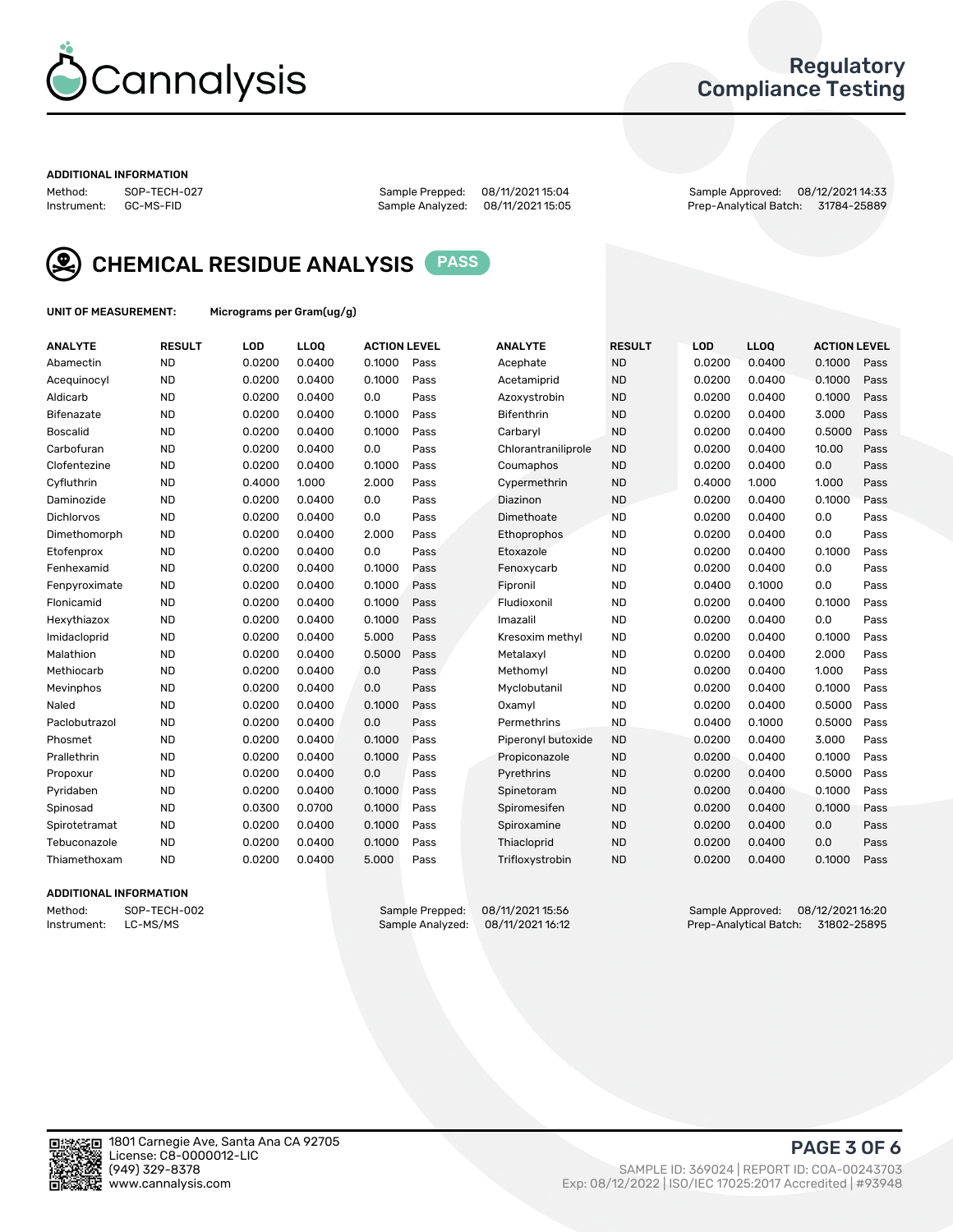

### Regulatory Compliance Testing

#### ADDITIONAL INFORMATION

Method: SOP-TECH-027 Sample Prepped: 08/11/2021 15:04 Sample Approved: 08/12/2021 14:33 Prep-Analytical Batch: 31784-25889



CHEMICAL RESIDUE ANALYSIS PASS

UNIT OF MEASUREMENT: Micrograms per Gram(ug/g)

| <b>ANALYTE</b>    | <b>RESULT</b> | LOD    | <b>LLOQ</b> | <b>ACTION LEVEL</b> |      | <b>ANALYTE</b>      | <b>RESULT</b> | LOD    | <b>LLOQ</b> | <b>ACTION LEVEL</b> |      |
|-------------------|---------------|--------|-------------|---------------------|------|---------------------|---------------|--------|-------------|---------------------|------|
| Abamectin         | <b>ND</b>     | 0.0200 | 0.0400      | 0.1000              | Pass | Acephate            | <b>ND</b>     | 0.0200 | 0.0400      | 0.1000              | Pass |
| Acequinocyl       | <b>ND</b>     | 0.0200 | 0.0400      | 0.1000              | Pass | Acetamiprid         | <b>ND</b>     | 0.0200 | 0.0400      | 0.1000              | Pass |
| Aldicarb          | <b>ND</b>     | 0.0200 | 0.0400      | 0.0                 | Pass | Azoxystrobin        | <b>ND</b>     | 0.0200 | 0.0400      | 0.1000              | Pass |
| Bifenazate        | <b>ND</b>     | 0.0200 | 0.0400      | 0.1000              | Pass | <b>Bifenthrin</b>   | <b>ND</b>     | 0.0200 | 0.0400      | 3.000               | Pass |
| <b>Boscalid</b>   | <b>ND</b>     | 0.0200 | 0.0400      | 0.1000              | Pass | Carbarvl            | <b>ND</b>     | 0.0200 | 0.0400      | 0.5000              | Pass |
| Carbofuran        | <b>ND</b>     | 0.0200 | 0.0400      | 0.0                 | Pass | Chlorantraniliprole | <b>ND</b>     | 0.0200 | 0.0400      | 10.00               | Pass |
| Clofentezine      | <b>ND</b>     | 0.0200 | 0.0400      | 0.1000              | Pass | Coumaphos           | <b>ND</b>     | 0.0200 | 0.0400      | 0.0                 | Pass |
| Cyfluthrin        | <b>ND</b>     | 0.4000 | 1.000       | 2.000               | Pass | Cypermethrin        | <b>ND</b>     | 0.4000 | 1.000       | 1.000               | Pass |
| Daminozide        | <b>ND</b>     | 0.0200 | 0.0400      | 0.0                 | Pass | Diazinon            | <b>ND</b>     | 0.0200 | 0.0400      | 0.1000              | Pass |
| <b>Dichlorvos</b> | <b>ND</b>     | 0.0200 | 0.0400      | 0.0                 | Pass | Dimethoate          | <b>ND</b>     | 0.0200 | 0.0400      | 0.0                 | Pass |
| Dimethomorph      | <b>ND</b>     | 0.0200 | 0.0400      | 2.000               | Pass | <b>Ethoprophos</b>  | <b>ND</b>     | 0.0200 | 0.0400      | 0.0                 | Pass |
| Etofenprox        | <b>ND</b>     | 0.0200 | 0.0400      | 0.0                 | Pass | Etoxazole           | <b>ND</b>     | 0.0200 | 0.0400      | 0.1000              | Pass |
| Fenhexamid        | <b>ND</b>     | 0.0200 | 0.0400      | 0.1000              | Pass | Fenoxycarb          | <b>ND</b>     | 0.0200 | 0.0400      | 0.0                 | Pass |
| Fenpyroximate     | <b>ND</b>     | 0.0200 | 0.0400      | 0.1000              | Pass | Fipronil            | <b>ND</b>     | 0.0400 | 0.1000      | 0.0                 | Pass |
| Flonicamid        | <b>ND</b>     | 0.0200 | 0.0400      | 0.1000              | Pass | Fludioxonil         | <b>ND</b>     | 0.0200 | 0.0400      | 0.1000              | Pass |
| Hexythiazox       | <b>ND</b>     | 0.0200 | 0.0400      | 0.1000              | Pass | Imazalil            | <b>ND</b>     | 0.0200 | 0.0400      | 0.0                 | Pass |
| Imidacloprid      | <b>ND</b>     | 0.0200 | 0.0400      | 5.000               | Pass | Kresoxim methyl     | <b>ND</b>     | 0.0200 | 0.0400      | 0.1000              | Pass |
| Malathion         | <b>ND</b>     | 0.0200 | 0.0400      | 0.5000              | Pass | Metalaxyl           | <b>ND</b>     | 0.0200 | 0.0400      | 2.000               | Pass |
| Methiocarb        | <b>ND</b>     | 0.0200 | 0.0400      | 0.0                 | Pass | Methomyl            | <b>ND</b>     | 0.0200 | 0.0400      | 1.000               | Pass |
| Mevinphos         | <b>ND</b>     | 0.0200 | 0.0400      | 0.0                 | Pass | Myclobutanil        | <b>ND</b>     | 0.0200 | 0.0400      | 0.1000              | Pass |
| Naled             | <b>ND</b>     | 0.0200 | 0.0400      | 0.1000              | Pass | Oxamyl              | <b>ND</b>     | 0.0200 | 0.0400      | 0.5000              | Pass |
| Paclobutrazol     | <b>ND</b>     | 0.0200 | 0.0400      | 0.0                 | Pass | Permethrins         | <b>ND</b>     | 0.0400 | 0.1000      | 0.5000              | Pass |
| Phosmet           | <b>ND</b>     | 0.0200 | 0.0400      | 0.1000              | Pass | Piperonyl butoxide  | <b>ND</b>     | 0.0200 | 0.0400      | 3.000               | Pass |
| Prallethrin       | <b>ND</b>     | 0.0200 | 0.0400      | 0.1000              | Pass | Propiconazole       | <b>ND</b>     | 0.0200 | 0.0400      | 0.1000              | Pass |
| Propoxur          | <b>ND</b>     | 0.0200 | 0.0400      | 0.0                 | Pass | Pyrethrins          | <b>ND</b>     | 0.0200 | 0.0400      | 0.5000              | Pass |
| Pyridaben         | <b>ND</b>     | 0.0200 | 0.0400      | 0.1000              | Pass | Spinetoram          | <b>ND</b>     | 0.0200 | 0.0400      | 0.1000              | Pass |
| Spinosad          | <b>ND</b>     | 0.0300 | 0.0700      | 0.1000              | Pass | Spiromesifen        | <b>ND</b>     | 0.0200 | 0.0400      | 0.1000              | Pass |
| Spirotetramat     | <b>ND</b>     | 0.0200 | 0.0400      | 0.1000              | Pass | Spiroxamine         | <b>ND</b>     | 0.0200 | 0.0400      | 0.0                 | Pass |
| Tebuconazole      | <b>ND</b>     | 0.0200 | 0.0400      | 0.1000              | Pass | Thiacloprid         | <b>ND</b>     | 0.0200 | 0.0400      | 0.0                 | Pass |
| Thiamethoxam      | <b>ND</b>     | 0.0200 | 0.0400      | 5.000               | Pass | Trifloxystrobin     | <b>ND</b>     | 0.0200 | 0.0400      | 0.1000              | Pass |

### ADDITIONAL INFORMATION

Method: SOP-TECH-002 Sample Prepped: 08/11/2021 15:56 Sample Approved: 08/12/2021 16:20 Prep-Analytical Batch: 31802-25895

PAGE 3 OF 6

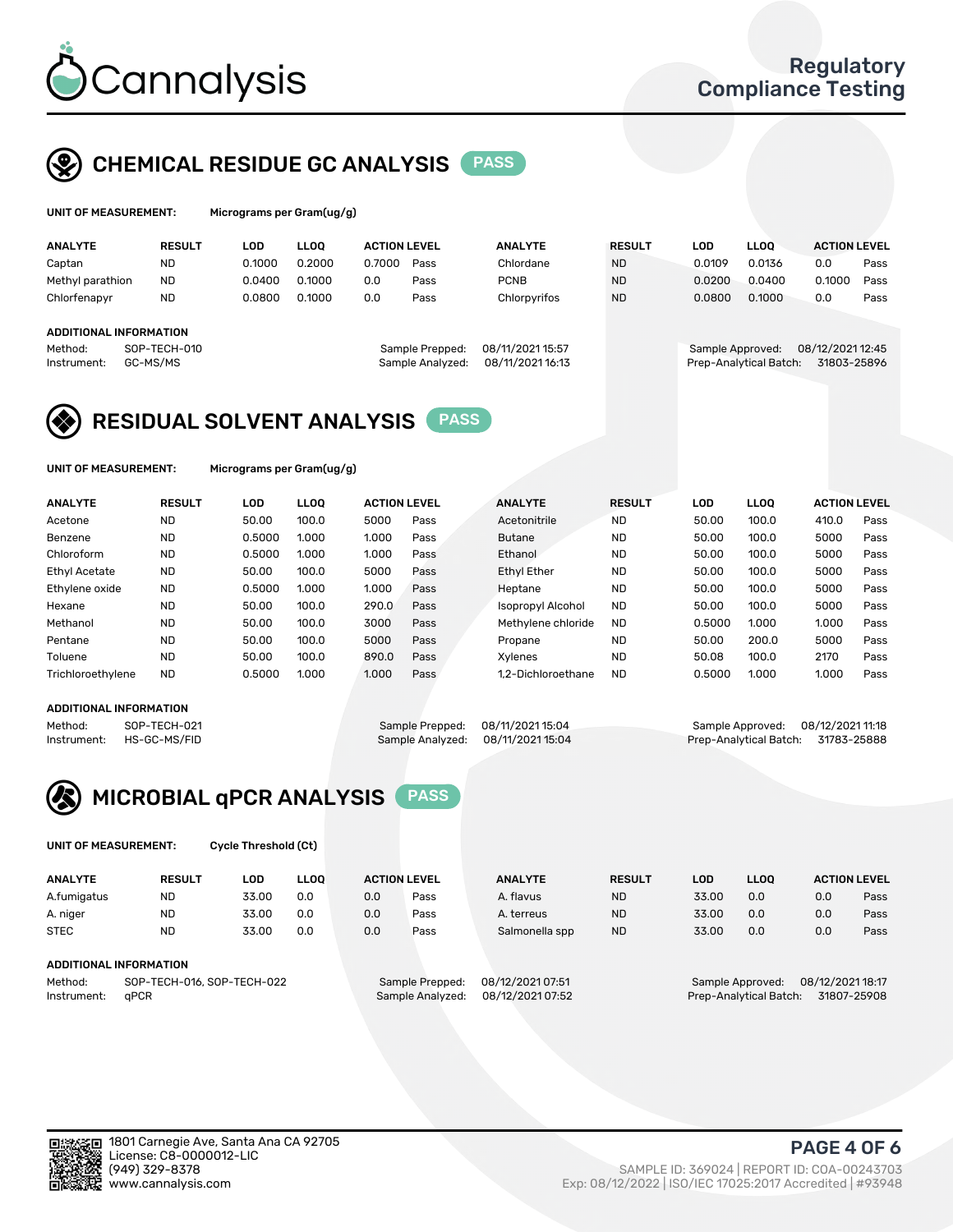

## CHEMICAL RESIDUE GC ANALYSIS PASS

| UNIT OF MEASUREMENT: |               | Micrograms per Gram $(uq/q)$ |             |                     |      |                |               |        |             |                     |      |
|----------------------|---------------|------------------------------|-------------|---------------------|------|----------------|---------------|--------|-------------|---------------------|------|
| <b>ANALYTE</b>       | <b>RESULT</b> | LOD                          | <b>LLOO</b> | <b>ACTION LEVEL</b> |      | <b>ANALYTE</b> | <b>RESULT</b> | LOD    | <b>LLOO</b> | <b>ACTION LEVEL</b> |      |
| Captan               | <b>ND</b>     | 0.1000                       | 0.2000      | 0.7000              | Pass | Chlordane      | <b>ND</b>     | 0.0109 | 0.0136      | 0.0                 | Pass |
| Methyl parathion     | <b>ND</b>     | 0.0400                       | 0.1000      | 0.0                 | Pass | <b>PCNB</b>    | <b>ND</b>     | 0.0200 | 0.0400      | 0.1000              | Pass |

### ADDITIONAL INFORMATION

Instrument: GC-MS/MS Sample Analyzed: 08/11/2021 16:13 Prep-Analytical Batch: 31803-25896

| epped:  | 08/11/2021 15:57 |  |
|---------|------------------|--|
| alyzed: | 08/11/2021 16:13 |  |
|         |                  |  |

Chlorfenapyr ND 0.0800 0.1000 0.0 Pass Chlorpyrifos ND 0.0800 0.1000 0.0 Pass

Method: SOP-TECH-010 Sample Prepped: 08/11/2021 15:57 Sample Approved: 08/12/2021 12:45



UNIT OF MEASUREMENT: Micrograms per Gram(ug/g)

| <b>ANALYTE</b>       | <b>RESULT</b> | LOD    | <b>LLOO</b> | <b>ACTION LEVEL</b> |      | <b>ANALYTE</b>           | <b>RESULT</b> | <b>LOD</b> | <b>LLOO</b> | <b>ACTION LEVEL</b> |      |
|----------------------|---------------|--------|-------------|---------------------|------|--------------------------|---------------|------------|-------------|---------------------|------|
| Acetone              | <b>ND</b>     | 50.00  | 100.0       | 5000                | Pass | Acetonitrile             | <b>ND</b>     | 50.00      | 100.0       | 410.0               | Pass |
| Benzene              | <b>ND</b>     | 0.5000 | 1.000       | 1.000               | Pass | <b>Butane</b>            | <b>ND</b>     | 50.00      | 100.0       | 5000                | Pass |
| Chloroform           | <b>ND</b>     | 0.5000 | 1.000       | 1.000               | Pass | Ethanol                  | <b>ND</b>     | 50.00      | 100.0       | 5000                | Pass |
| <b>Ethyl Acetate</b> | <b>ND</b>     | 50.00  | 100.0       | 5000                | Pass | <b>Ethyl Ether</b>       | <b>ND</b>     | 50.00      | 100.0       | 5000                | Pass |
| Ethylene oxide       | <b>ND</b>     | 0.5000 | 1.000       | 1.000               | Pass | Heptane                  | <b>ND</b>     | 50.00      | 100.0       | 5000                | Pass |
| Hexane               | <b>ND</b>     | 50.00  | 100.0       | 290.0               | Pass | <b>Isopropyl Alcohol</b> | <b>ND</b>     | 50.00      | 100.0       | 5000                | Pass |
| Methanol             | <b>ND</b>     | 50.00  | 100.0       | 3000                | Pass | Methylene chloride       | <b>ND</b>     | 0.5000     | 1.000       | 1.000               | Pass |
| Pentane              | <b>ND</b>     | 50.00  | 100.0       | 5000                | Pass | Propane                  | <b>ND</b>     | 50.00      | 200.0       | 5000                | Pass |
| Toluene              | <b>ND</b>     | 50.00  | 100.0       | 890.0               | Pass | Xvlenes                  | <b>ND</b>     | 50.08      | 100.0       | 2170                | Pass |
| Trichloroethylene    | <b>ND</b>     | 0.5000 | 1.000       | 1.000               | Pass | 1.2-Dichloroethane       | <b>ND</b>     | 0.5000     | 1.000       | 1.000               | Pass |

#### ADDITIONAL INFORMATION

Method: SOP-TECH-021 Sample Prepped: 08/11/2021 15:04 Sample Approved: 08/12/2021 11:18<br>Instrument: HS-GC-MS/FID Sample Analyzed: 08/11/2021 15:04 Prep-Analytical Batch: 31783-25888 Prep-Analytical Batch: 31783-25888



UNIT OF MEASUREMENT: Cycle Threshold (Ct)

| <b>ANALYTE</b> | <b>RESULT</b>                 | LOD   | <b>LLOO</b> |     | <b>ACTION LEVEL</b> | <b>ANALYTE</b>   | <b>RESULT</b> | LOD   | <b>LLOO</b>            |                  | <b>ACTION LEVEL</b> |
|----------------|-------------------------------|-------|-------------|-----|---------------------|------------------|---------------|-------|------------------------|------------------|---------------------|
| A.fumigatus    | <b>ND</b>                     | 33.00 | 0.0         | 0.0 | Pass                | A. flavus        | <b>ND</b>     | 33.00 | 0.0                    | 0.0              | Pass                |
| A. niger       | <b>ND</b>                     | 33.00 | 0.0         | 0.0 | Pass                | A. terreus       | <b>ND</b>     | 33.00 | 0.0                    | 0.0              | Pass                |
| <b>STEC</b>    | <b>ND</b>                     | 33.00 | 0.0         | 0.0 | Pass                | Salmonella spp   | <b>ND</b>     | 33.00 | 0.0                    | 0.0              | Pass                |
|                | <b>ADDITIONAL INFORMATION</b> |       |             |     |                     |                  |               |       |                        |                  |                     |
| Method:        | SOP-TECH-016, SOP-TECH-022    |       |             |     | Sample Prepped:     | 08/12/2021 07:51 |               |       | Sample Approved:       | 08/12/2021 18:17 |                     |
| Instrument:    | aPCR                          |       |             |     | Sample Analyzed:    | 08/12/2021 07:52 |               |       | Prep-Analytical Batch: |                  | 31807-25908         |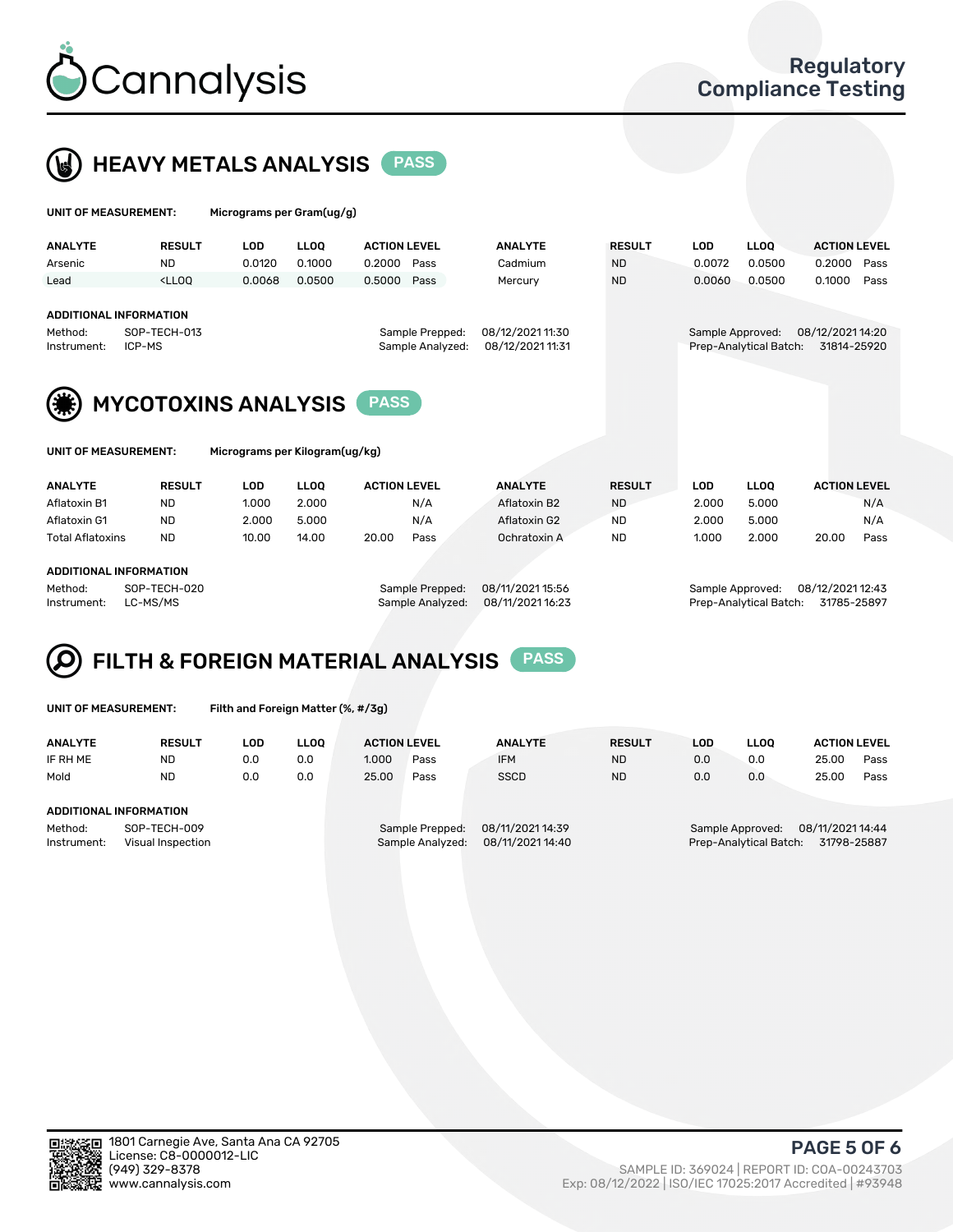



| UNIT OF MEASUREMENT:                                                                                |                                                                                                                                                                             | Micrograms per Gram(ug/g) |                                      |                     |                  |                        |                                 |                  |                        |                     |      |
|-----------------------------------------------------------------------------------------------------|-----------------------------------------------------------------------------------------------------------------------------------------------------------------------------|---------------------------|--------------------------------------|---------------------|------------------|------------------------|---------------------------------|------------------|------------------------|---------------------|------|
| <b>ANALYTE</b>                                                                                      | <b>RESULT</b>                                                                                                                                                               | <b>LOD</b>                | <b>LLOO</b>                          | <b>ACTION LEVEL</b> |                  | <b>ANALYTE</b>         | <b>RESULT</b>                   | <b>LOD</b>       | <b>LLOO</b>            | <b>ACTION LEVEL</b> |      |
| Arsenic                                                                                             | <b>ND</b>                                                                                                                                                                   | 0.0120                    | 0.1000                               | 0.2000              | Pass             | Cadmium                | <b>ND</b>                       | 0.0072           | 0.0500                 | 0.2000              | Pass |
| Lead                                                                                                | <lloo< td=""><td>0.0068</td><td>0.0500</td><td>0.5000</td><td>Pass</td><td>Mercury</td><td><b>ND</b></td><td>0.0060</td><td>0.0500</td><td>0.1000</td><td>Pass</td></lloo<> | 0.0068                    | 0.0500                               | 0.5000              | Pass             | Mercury                | <b>ND</b>                       | 0.0060           | 0.0500                 | 0.1000              | Pass |
| Method:<br>Instrument:                                                                              | <b>ADDITIONAL INFORMATION</b><br>SOP-TECH-013<br>Sample Prepped:<br>ICP-MS<br>Sample Analyzed:                                                                              |                           | 08/12/2021 11:30<br>08/12/2021 11:31 |                     | Sample Approved: | Prep-Analytical Batch: | 08/12/2021 14:20<br>31814-25920 |                  |                        |                     |      |
|                                                                                                     |                                                                                                                                                                             |                           |                                      |                     |                  |                        |                                 |                  |                        |                     |      |
| <b>MYCOTOXINS ANALYSIS</b><br><b>PASS</b><br>UNIT OF MEASUREMENT:<br>Micrograms per Kilogram(ug/kg) |                                                                                                                                                                             |                           |                                      |                     |                  |                        |                                 |                  |                        |                     |      |
|                                                                                                     |                                                                                                                                                                             |                           |                                      |                     |                  |                        |                                 |                  |                        |                     |      |
| <b>ANALYTE</b>                                                                                      | <b>RESULT</b>                                                                                                                                                               | <b>LOD</b>                | <b>LLOO</b>                          | <b>ACTION LEVEL</b> |                  | <b>ANALYTE</b>         | <b>RESULT</b>                   | <b>LOD</b>       | <b>LLOO</b>            | <b>ACTION LEVEL</b> |      |
| Aflatoxin B1                                                                                        | <b>ND</b>                                                                                                                                                                   | 1.000                     | 2.000                                |                     | N/A              | Aflatoxin B2           | <b>ND</b>                       | 2.000            | 5.000                  |                     | N/A  |
| Aflatoxin G1                                                                                        | <b>ND</b>                                                                                                                                                                   | 2.000                     | 5.000                                |                     | N/A              | Aflatoxin G2           | <b>ND</b>                       | 2.000            | 5.000                  |                     | N/A  |
| <b>Total Aflatoxins</b>                                                                             | <b>ND</b>                                                                                                                                                                   | 10.00                     | 14.00                                | 20.00               | Pass             | Ochratoxin A           | <b>ND</b>                       | 1.000            | 2.000                  | 20.00               | Pass |
| <b>ADDITIONAL INFORMATION</b>                                                                       |                                                                                                                                                                             |                           |                                      |                     |                  |                        |                                 |                  |                        |                     |      |
| Method:                                                                                             | SOP-TECH-020                                                                                                                                                                |                           |                                      |                     | Sample Prepped:  | 08/11/2021 15:56       |                                 | Sample Approved: |                        | 08/12/2021 12:43    |      |
| Instrument:                                                                                         | LC-MS/MS                                                                                                                                                                    |                           |                                      |                     | Sample Analyzed: | 08/11/2021 16:23       |                                 |                  | Prep-Analytical Batch: | 31785-25897         |      |

### FILTH & FOREIGN MATERIAL ANALYSIS PASS Q

UNIT OF MEASUREMENT: Filth and Foreign Matter (%, #/3g)

| <b>ANALYTE</b>                                              | <b>RESULT</b> | LOD | <b>LLOO</b> | <b>ACTION LEVEL</b>                                                         |      | <b>ANALYTE</b> | <b>RESULT</b> | LOD                                                                           | <b>LLOO</b> | <b>ACTION LEVEL</b> |      |
|-------------------------------------------------------------|---------------|-----|-------------|-----------------------------------------------------------------------------|------|----------------|---------------|-------------------------------------------------------------------------------|-------------|---------------------|------|
| IF RH ME                                                    | ND            | 0.0 | 0.0         | 1.000                                                                       | Pass | <b>IFM</b>     | <b>ND</b>     | 0.0                                                                           | 0.0         | 25.00               | Pass |
| Mold                                                        | <b>ND</b>     | 0.0 | 0.0         | 25.00                                                                       | Pass | <b>SSCD</b>    | <b>ND</b>     | 0.0                                                                           | 0.0         | 25.00               | Pass |
| <b>ADDITIONAL INFORMATION</b>                               |               |     |             |                                                                             |      |                |               |                                                                               |             |                     |      |
| Method:<br>SOP-TECH-009<br>Instrument:<br>Visual Inspection |               |     |             | 08/11/2021 14:39<br>Sample Prepped:<br>08/11/2021 14:40<br>Sample Analyzed: |      |                |               | 08/11/2021 14:44<br>Sample Approved:<br>31798-25887<br>Prep-Analytical Batch: |             |                     |      |